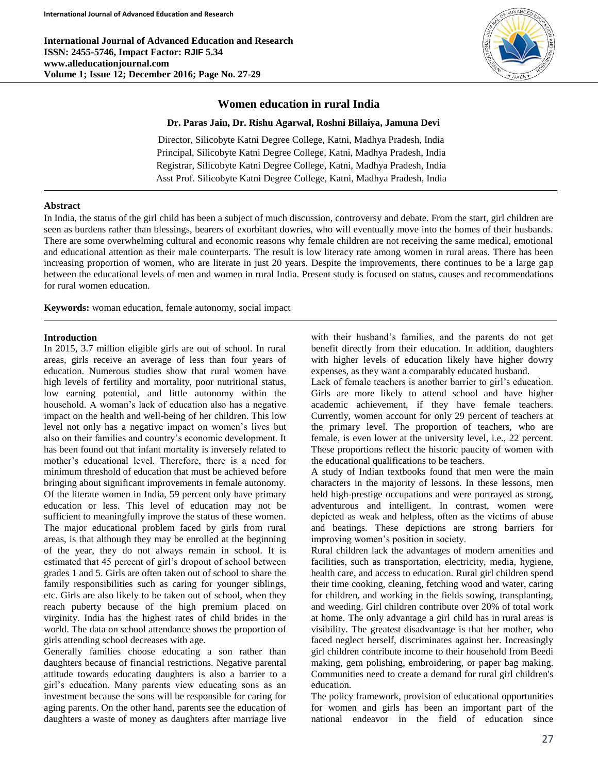**International Journal of Advanced Education and Research ISSN: 2455-5746, Impact Factor: RJIF 5.34 www.alleducationjournal.com Volume 1; Issue 12; December 2016; Page No. 27-29**



# **Women education in rural India**

## **Dr. Paras Jain, Dr. Rishu Agarwal, Roshni Billaiya, Jamuna Devi**

Director, Silicobyte Katni Degree College, Katni, Madhya Pradesh, India Principal, Silicobyte Katni Degree College, Katni, Madhya Pradesh, India Registrar, Silicobyte Katni Degree College, Katni, Madhya Pradesh, India Asst Prof. Silicobyte Katni Degree College, Katni, Madhya Pradesh, India

## **Abstract**

In India, the status of the girl child has been a subject of much discussion, controversy and debate. From the start, girl children are seen as burdens rather than blessings, bearers of exorbitant dowries, who will eventually move into the homes of their husbands. There are some overwhelming cultural and economic reasons why female children are not receiving the same medical, emotional and educational attention as their male counterparts. The result is low literacy rate among women in rural areas. There has been increasing proportion of women, who are literate in just 20 years. Despite the improvements, there continues to be a large gap between the educational levels of men and women in rural India. Present study is focused on status, causes and recommendations for rural women education.

**Keywords:** woman education, female autonomy, social impact

## **Introduction**

In 2015, 3.7 million eligible girls are out of school. In rural areas, girls receive an average of less than four years of education. Numerous studies show that rural women have high levels of fertility and mortality, poor nutritional status, low earning potential, and little autonomy within the household. A woman's lack of education also has a negative impact on the health and well-being of her children. This low level not only has a negative impact on women's lives but also on their families and country's economic development. It has been found out that infant mortality is inversely related to mother's educational level. Therefore, there is a need for minimum threshold of education that must be achieved before bringing about significant improvements in female autonomy. Of the literate women in India, 59 percent only have primary education or less. This level of education may not be sufficient to meaningfully improve the status of these women. The major educational problem faced by girls from rural areas, is that although they may be enrolled at the beginning of the year, they do not always remain in school. It is estimated that 45 percent of girl's dropout of school between grades 1 and 5. Girls are often taken out of school to share the family responsibilities such as caring for younger siblings, etc. Girls are also likely to be taken out of school, when they reach puberty because of the high premium placed on virginity. India has the highest rates of child brides in the world. The data on school attendance shows the proportion of girls attending school decreases with age.

Generally families choose educating a son rather than daughters because of financial restrictions. Negative parental attitude towards educating daughters is also a barrier to a girl's education. Many parents view educating sons as an investment because the sons will be responsible for caring for aging parents. On the other hand, parents see the education of daughters a waste of money as daughters after marriage live with their husband's families, and the parents do not get benefit directly from their education. In addition, daughters with higher levels of education likely have higher dowry expenses, as they want a comparably educated husband.

Lack of female teachers is another barrier to girl's education. Girls are more likely to attend school and have higher academic achievement, if they have female teachers. Currently, women account for only 29 percent of teachers at the primary level. The proportion of teachers, who are female, is even lower at the university level, i.e., 22 percent. These proportions reflect the historic paucity of women with the educational qualifications to be teachers.

A study of Indian textbooks found that men were the main characters in the majority of lessons. In these lessons, men held high-prestige occupations and were portrayed as strong, adventurous and intelligent. In contrast, women were depicted as weak and helpless, often as the victims of abuse and beatings. These depictions are strong barriers for improving women's position in society.

Rural children lack the advantages of modern amenities and facilities, such as transportation, electricity, media, hygiene, health care, and access to education. Rural girl children spend their time cooking, cleaning, fetching wood and water, caring for children, and working in the fields sowing, transplanting, and weeding. Girl children contribute over 20% of total work at home. The only advantage a girl child has in rural areas is visibility. The greatest disadvantage is that her mother, who faced neglect herself, discriminates against her. Increasingly girl children contribute income to their household from Beedi making, gem polishing, embroidering, or paper bag making. Communities need to create a demand for rural girl children's education.

The policy framework, provision of educational opportunities for women and girls has been an important part of the national endeavor in the field of education since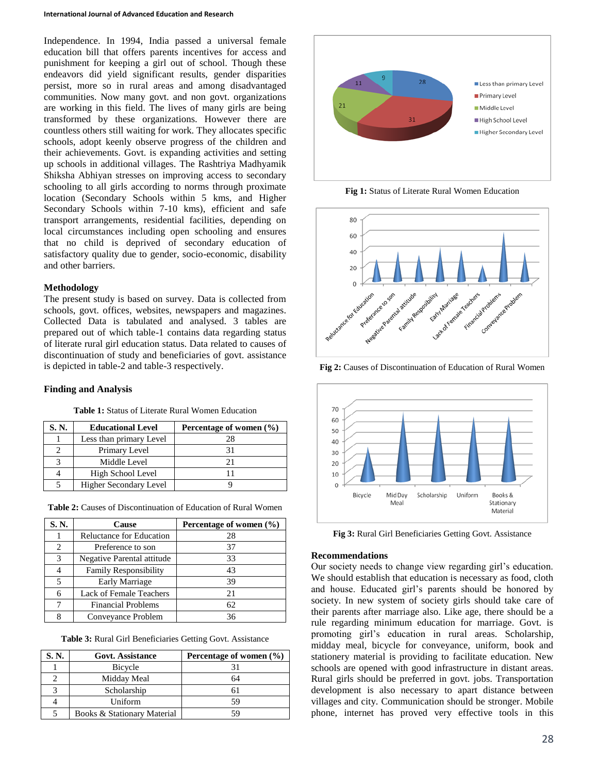Independence. In 1994, India passed a universal female education bill that offers parents incentives for access and punishment for keeping a girl out of school. Though these endeavors did yield significant results, gender disparities persist, more so in rural areas and among disadvantaged communities. Now many govt. and non govt. organizations are working in this field. The lives of many girls are being transformed by these organizations. However there are countless others still waiting for work. They allocates specific schools, adopt keenly observe progress of the children and their achievements. Govt. is expanding activities and setting up schools in additional villages. The Rashtriya Madhyamik Shiksha Abhiyan stresses on improving access to secondary schooling to all girls according to norms through proximate location (Secondary Schools within 5 kms, and Higher Secondary Schools within 7-10 kms), efficient and safe transport arrangements, residential facilities, depending on local circumstances including open schooling and ensures that no child is deprived of secondary education of satisfactory quality due to gender, socio-economic, disability and other barriers.

## **Methodology**

The present study is based on survey. Data is collected from schools, govt. offices, websites, newspapers and magazines. Collected Data is tabulated and analysed. 3 tables are prepared out of which table-1 contains data regarding status of literate rural girl education status. Data related to causes of discontinuation of study and beneficiaries of govt. assistance is depicted in table-2 and table-3 respectively.

#### **Finding and Analysis**

| S. N. | <b>Educational Level</b> | Percentage of women $(\% )$ |  |  |
|-------|--------------------------|-----------------------------|--|--|
|       | Less than primary Level  |                             |  |  |
|       | Primary Level            |                             |  |  |
|       | Middle Level             |                             |  |  |
|       | High School Level        |                             |  |  |
|       | Higher Secondary Level   |                             |  |  |

| S.N.           | Cause                        | Percentage of women (%) |  |  |
|----------------|------------------------------|-------------------------|--|--|
|                | Reluctance for Education     | 28                      |  |  |
| $\mathfrak{D}$ | Preference to son            | 37                      |  |  |
| 3              | Negative Parental attitude   | 33                      |  |  |
|                | <b>Family Responsibility</b> | 43                      |  |  |
| 5              | <b>Early Marriage</b>        | 39                      |  |  |
| 6              | Lack of Female Teachers      | 21                      |  |  |
|                | <b>Financial Problems</b>    | 62                      |  |  |
| 8              | Conveyance Problem           | 36                      |  |  |

| <b>Table 2:</b> Causes of Discontinuation of Education of Rural Women |
|-----------------------------------------------------------------------|
|-----------------------------------------------------------------------|

|  | Table 3: Rural Girl Beneficiaries Getting Govt. Assistance |  |  |
|--|------------------------------------------------------------|--|--|
|  |                                                            |  |  |

| S. N. | <b>Govt. Assistance</b>     | Percentage of women $(\% )$ |
|-------|-----------------------------|-----------------------------|
|       | Bicycle                     |                             |
|       | Midday Meal                 | 64                          |
|       | Scholarship                 |                             |
|       | Uniform                     | 59                          |
|       | Books & Stationary Material | 59                          |



**Fig 1:** Status of Literate Rural Women Education



**Fig 2:** Causes of Discontinuation of Education of Rural Women



**Fig 3:** Rural Girl Beneficiaries Getting Govt. Assistance

## **Recommendations**

Our society needs to change view regarding girl's education. We should establish that education is necessary as food, cloth and house. Educated girl's parents should be honored by society. In new system of society girls should take care of their parents after marriage also. Like age, there should be a rule regarding minimum education for marriage. Govt. is promoting girl's education in rural areas. Scholarship, midday meal, bicycle for conveyance, uniform, book and stationery material is providing to facilitate education. New schools are opened with good infrastructure in distant areas. Rural girls should be preferred in govt. jobs. Transportation development is also necessary to apart distance between villages and city. Communication should be stronger. Mobile phone, internet has proved very effective tools in this